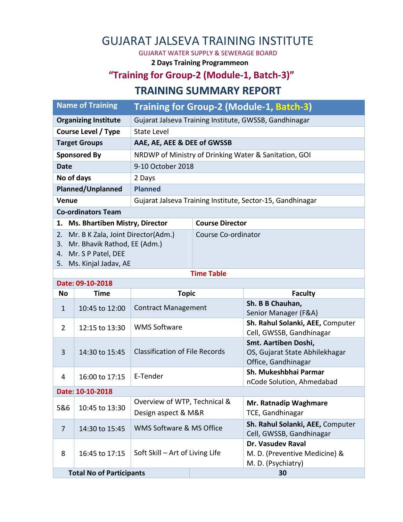# GUJARAT JALSEVA TRAINING INSTITUTE

GUJARAT WATER SUPPLY & SEWERAGE BOARD

**2 Days Training Programmeon**

### **"Training for Group-2 (Module-1, Batch-3)"**

#### **TRAINING SUMMARY REPORT**

|                                                                                                                                          | <b>Name of Training</b>                           | Training for Group-2 (Module-1, Batch-3)                   |                        |                                                                               |  |  |  |  |
|------------------------------------------------------------------------------------------------------------------------------------------|---------------------------------------------------|------------------------------------------------------------|------------------------|-------------------------------------------------------------------------------|--|--|--|--|
| <b>Organizing Institute</b>                                                                                                              |                                                   | Gujarat Jalseva Training Institute, GWSSB, Gandhinagar     |                        |                                                                               |  |  |  |  |
| <b>Course Level / Type</b>                                                                                                               |                                                   | <b>State Level</b>                                         |                        |                                                                               |  |  |  |  |
| <b>Target Groups</b>                                                                                                                     |                                                   | AAE, AE, AEE & DEE of GWSSB                                |                        |                                                                               |  |  |  |  |
| <b>Sponsored By</b>                                                                                                                      |                                                   | NRDWP of Ministry of Drinking Water & Sanitation, GOI      |                        |                                                                               |  |  |  |  |
| <b>Date</b>                                                                                                                              |                                                   | 9-10 October 2018                                          |                        |                                                                               |  |  |  |  |
| No of days                                                                                                                               |                                                   | 2 Days                                                     |                        |                                                                               |  |  |  |  |
| <b>Planned/Unplanned</b>                                                                                                                 |                                                   | <b>Planned</b>                                             |                        |                                                                               |  |  |  |  |
| Venue                                                                                                                                    |                                                   | Gujarat Jalseva Training Institute, Sector-15, Gandhinagar |                        |                                                                               |  |  |  |  |
| <b>Co-ordinators Team</b>                                                                                                                |                                                   |                                                            |                        |                                                                               |  |  |  |  |
| <b>Ms. Bhartiben Mistry, Director</b><br>1.                                                                                              |                                                   |                                                            | <b>Course Director</b> |                                                                               |  |  |  |  |
| Mr. B K Zala, Joint Director(Adm.)<br>2.<br>Mr. Bhavik Rathod, EE (Adm.)<br>3.<br>Mr. S P Patel, DEE<br>4.<br>Ms. Kinjal Jadav, AE<br>5. |                                                   |                                                            | Course Co-ordinator    |                                                                               |  |  |  |  |
| <b>Time Table</b>                                                                                                                        |                                                   |                                                            |                        |                                                                               |  |  |  |  |
|                                                                                                                                          | Date: 09-10-2018                                  |                                                            |                        |                                                                               |  |  |  |  |
| <b>No</b>                                                                                                                                | <b>Time</b>                                       | <b>Topic</b>                                               |                        | <b>Faculty</b>                                                                |  |  |  |  |
|                                                                                                                                          |                                                   |                                                            |                        |                                                                               |  |  |  |  |
| $\mathbf 1$                                                                                                                              | 10:45 to 12:00                                    | <b>Contract Management</b>                                 |                        | Sh. B B Chauhan,<br>Senior Manager (F&A)                                      |  |  |  |  |
| 2                                                                                                                                        | 12:15 to 13:30                                    | <b>WMS Software</b>                                        |                        | Sh. Rahul Solanki, AEE, Computer<br>Cell, GWSSB, Gandhinagar                  |  |  |  |  |
| 3                                                                                                                                        | 14:30 to 15:45                                    | <b>Classification of File Records</b>                      |                        | Smt. Aartiben Doshi,<br>OS, Gujarat State Abhilekhagar<br>Office, Gandhinagar |  |  |  |  |
| 4                                                                                                                                        | 16:00 to 17:15                                    | E-Tender                                                   |                        | Sh. Mukeshbhai Parmar<br>nCode Solution, Ahmedabad                            |  |  |  |  |
|                                                                                                                                          | Date: 10-10-2018                                  |                                                            |                        |                                                                               |  |  |  |  |
| 5&6                                                                                                                                      | 10:45 to 13:30                                    | Overview of WTP, Technical &<br>Design aspect & M&R        |                        | Mr. Ratnadip Waghmare<br>TCE, Gandhinagar                                     |  |  |  |  |
| $\overline{7}$                                                                                                                           | 14:30 to 15:45                                    | WMS Software & MS Office                                   |                        | Sh. Rahul Solanki, AEE, Computer<br>Cell, GWSSB, Gandhinagar                  |  |  |  |  |
| 8                                                                                                                                        | 16:45 to 17:15<br><b>Total No of Participants</b> | Soft Skill - Art of Living Life                            |                        | Dr. Vasudev Raval<br>M. D. (Preventive Medicine) &<br>M. D. (Psychiatry)      |  |  |  |  |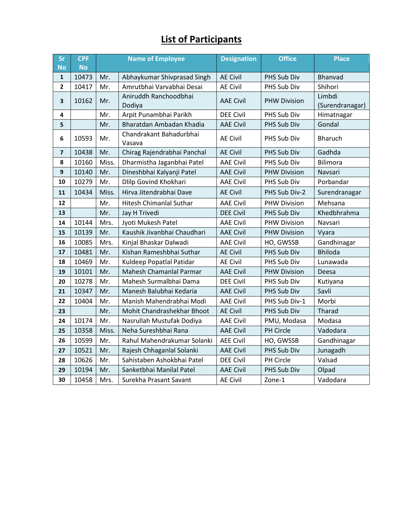## **List of Participants**

| Sr                      | <b>CPF</b> | <b>Name of Employee</b> |                                   | <b>Designation</b> | <b>Office</b>       | <b>Place</b>              |
|-------------------------|------------|-------------------------|-----------------------------------|--------------------|---------------------|---------------------------|
| <b>No</b>               | <b>No</b>  |                         |                                   |                    |                     |                           |
| $\mathbf{1}$            | 10473      | Mr.                     | Abhaykumar Shivprasad Singh       | <b>AE Civil</b>    | PHS Sub Div         | Bhanvad                   |
| $\overline{2}$          | 10417      | Mr.                     | Amrutbhai Varvabhai Desai         | <b>AE Civil</b>    | PHS Sub Div         | Shihori                   |
| 3                       | 10162      | Mr.                     | Aniruddh Ranchoodbhai<br>Dodiya   | <b>AAE Civil</b>   | <b>PHW Division</b> | Limbdi<br>(Surendranagar) |
| 4                       |            | Mr.                     | Arpit Punambhai Parikh            | <b>DEE Civil</b>   | PHS Sub Div         | Himatnagar                |
| 5                       |            | Mr.                     | Bharatdan Ambadan Khadia          | <b>AAE Civil</b>   | PHS Sub Div         | Gondal                    |
| 6                       | 10593      | Mr.                     | Chandrakant Bahadurbhai<br>Vasava | <b>AE Civil</b>    | <b>PHS Sub Div</b>  | <b>Bharuch</b>            |
| $\overline{\mathbf{z}}$ | 10438      | Mr.                     | Chirag Rajendrabhai Panchal       | <b>AE Civil</b>    | PHS Sub Div         | Gadhda                    |
| 8                       | 10160      | Miss.                   | Dharmistha Jaganbhai Patel        | <b>AAE Civil</b>   | PHS Sub Div         | <b>Bilimora</b>           |
| 9                       | 10140      | Mr.                     | Dineshbhai Kalyanji Patel         | <b>AAE Civil</b>   | <b>PHW Division</b> | Navsari                   |
| 10                      | 10279      | Mr.                     | Dlilp Govind Khokhari             | <b>AAE Civil</b>   | PHS Sub Div         | Porbandar                 |
| 11                      | 10434      | Miss.                   | Hirva Jitendrabhai Dave           | <b>AE Civil</b>    | PHS Sub Div-2       | Surendranagar             |
| 12                      |            | Mr.                     | <b>Hitesh Chimanlal Suthar</b>    | <b>AAE Civil</b>   | <b>PHW Division</b> | Mehsana                   |
| 13                      |            | Mr.                     | Jay H Trivedi                     | <b>DEE Civil</b>   | PHS Sub Div         | Khedbhrahma               |
| 14                      | 10144      | Mrs.                    | Jyoti Mukesh Patel                | <b>AAE Civil</b>   | <b>PHW Division</b> | Navsari                   |
| 15                      | 10139      | Mr.                     | Kaushik Jivanbhai Chaudhari       | <b>AAE Civil</b>   | <b>PHW Division</b> | Vyara                     |
| 16                      | 10085      | Mrs.                    | Kinjal Bhaskar Dalwadi            | <b>AAE Civil</b>   | HO, GWSSB           | Gandhinagar               |
| 17                      | 10481      | Mr.                     | Kishan Rameshbhai Suthar          | <b>AE Civil</b>    | PHS Sub Div         | <b>Bhiloda</b>            |
| 18                      | 10469      | Mr.                     | Kuldeep Popatlal Patidar          | <b>AE Civil</b>    | PHS Sub Div         | Lunawada                  |
| 19                      | 10101      | Mr.                     | Mahesh Chamanlal Parmar           | <b>AAE Civil</b>   | <b>PHW Division</b> | Deesa                     |
| 20                      | 10278      | Mr.                     | Mahesh Surmalbhai Dama            | <b>DEE Civil</b>   | PHS Sub Div         | Kutiyana                  |
| 21                      | 10347      | Mr.                     | Manesh Balubhai Kedaria           | <b>AAE Civil</b>   | PHS Sub Div         | Savli                     |
| 22                      | 10404      | Mr.                     | Manish Mahendrabhai Modi          | <b>AAE Civil</b>   | PHS Sub Div-1       | Morbi                     |
| 23                      |            | Mr.                     | Mohit Chandrashekhar Bhoot        | <b>AE Civil</b>    | PHS Sub Div         | Tharad                    |
| 24                      | 10174      | Mr.                     | Nasrullah Mustufak Dodiya         | <b>AAE Civil</b>   | PMU, Modasa         | Modasa                    |
| 25                      | 10358      | Miss.                   | Neha Sureshbhai Rana              | <b>AAE Civil</b>   | PH Circle           | Vadodara                  |
| 26                      | 10599      | Mr.                     | Rahul Mahendrakumar Solanki       | <b>AEE Civil</b>   | HO, GWSSB           | Gandhinagar               |
| 27                      | 10521      | Mr.                     | Rajesh Chhaganlal Solanki         | <b>AAE Civil</b>   | PHS Sub Div         | Junagadh                  |
| 28                      | 10626      | Mr.                     | Sahistaben Ashokbhai Patel        | <b>DEE Civil</b>   | PH Circle           | Valsad                    |
| 29                      | 10194      | Mr.                     | Sanketbhai Manilal Patel          | <b>AAE Civil</b>   | PHS Sub Div         | Olpad                     |
| 30                      | 10458      | Mrs.                    | Surekha Prasant Savant            | <b>AE Civil</b>    | Zone-1              | Vadodara                  |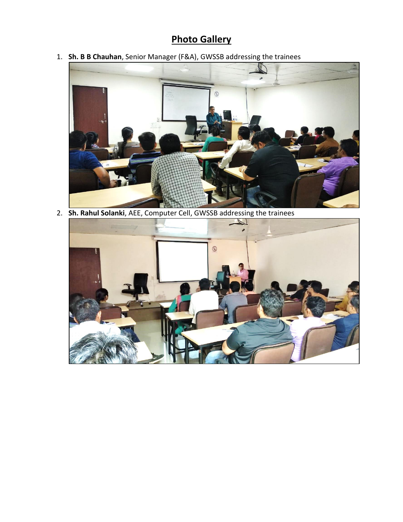## **Photo Gallery**

1. **Sh. B B Chauhan**, Senior Manager (F&A), GWSSB addressing the trainees



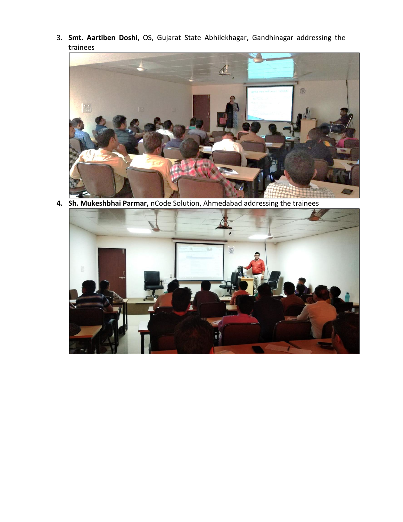3. **Smt. Aartiben Doshi**, OS, Gujarat State Abhilekhagar, Gandhinagar addressing the trainees



**4. Sh. Mukeshbhai Parmar,** nCode Solution, Ahmedabad addressing the trainees